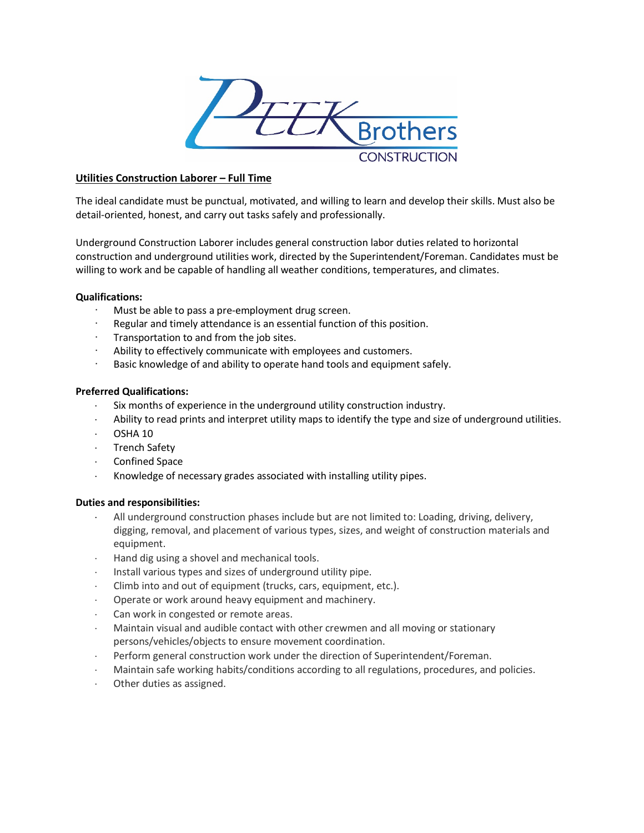

# **Utilities Construction Laborer – Full Time**

The ideal candidate must be punctual, motivated, and willing to learn and develop their skills. Must also be detail-oriented, honest, and carry out tasks safely and professionally.

Underground Construction Laborer includes general construction labor duties related to horizontal construction and underground utilities work, directed by the Superintendent/Foreman. Candidates must be willing to work and be capable of handling all weather conditions, temperatures, and climates.

## **Qualifications:**

- Must be able to pass a pre-employment drug screen.
- Regular and timely attendance is an essential function of this position.
- · Transportation to and from the job sites.
- Ability to effectively communicate with employees and customers.
- Basic knowledge of and ability to operate hand tools and equipment safely.

## **Preferred Qualifications:**

- Six months of experience in the underground utility construction industry.
- Ability to read prints and interpret utility maps to identify the type and size of underground utilities.
- ⋅ OSHA 10
- ⋅ Trench Safety
- ⋅ Confined Space
- Knowledge of necessary grades associated with installing utility pipes.

## **Duties and responsibilities:**

- All underground construction phases include but are not limited to: Loading, driving, delivery, digging, removal, and placement of various types, sizes, and weight of construction materials and equipment.
- Hand dig using a shovel and mechanical tools.
- ⋅ Install various types and sizes of underground utility pipe.
- ⋅ Climb into and out of equipment (trucks, cars, equipment, etc.).
- Operate or work around heavy equipment and machinery.
- Can work in congested or remote areas.
- Maintain visual and audible contact with other crewmen and all moving or stationary persons/vehicles/objects to ensure movement coordination.
- Perform general construction work under the direction of Superintendent/Foreman.
- Maintain safe working habits/conditions according to all regulations, procedures, and policies.
- ⋅ Other duties as assigned.